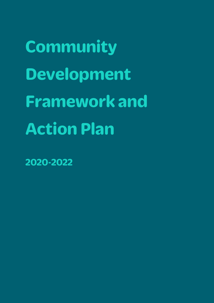**Community Development Framework and Action Plan**

**2020-2022**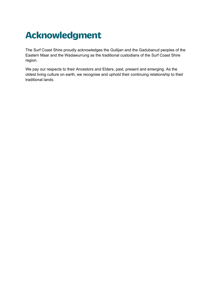# **Acknowledgment**

The Surf Coast Shire proudly acknowledges the Guilijan and the Gadubanud peoples of the Eastern Maar and the Wadawurrung as the traditional custodians of the Surf Coast Shire region.

We pay our respects to their Ancestors and Elders, past, present and emerging. As the oldest living culture on earth, we recognise and uphold their continuing relationship to their traditional lands.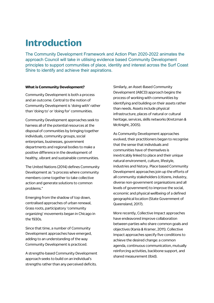## **Introduction**

The Community Development Framework and Action Plan 2020-2022 animates the approach Council will take in utilising evidence based Community Development principles to support communities of place, identity and interest across the Surf Coast Shire to identify and achieve their aspirations.

#### **What is Community Development?**

Community Development is both a process and an outcome. Central to the notion of Community Development is 'doing with' rather than 'doing to' or 'doing for' communities.

Community Development approaches seek to harness all of the potential resources at the disposal of communities by bringing together individuals, community groups, social enterprises, businesses, government departments and regional bodies to make a positive difference in the development of healthy, vibrant and sustainable communities.

The United Nations (2014) defines Community Development as "a process where community members come together to take collective action and generate solutions to common problems."

Emerging from the shadow of top down, centralised approaches of urban renewal, Grass roots, participatory 'community organizing' movements began in Chicago in the 1930s.

Since that time, a number of Community Development approaches have emerged, adding to an understanding of the way Community Development is practiced.

A strengths-based Community Development approach seeks to build on an individual's strengths rather than any perceived deficits.

Similarly, an Asset-Based Community Development (ABCD) approach begins the process of working with communities by identifying and building on their assets rather than needs. Assets include physical infrastructure, places of natural or cultural heritage, services, skills networks (Kretzman & McKnight, 2005).

As Community Development approaches evolved, their practitioners began to recognise that the sense that individuals and communities have of themselves is inextricably linked to place and their unique natural environment, culture, lifestyle, industries and history. Place based Community Development approaches join up the efforts of all community stakeholders (citizens, industry, diverse non-government organisations and all levels of government) to improve the social, economic and physical wellbeing of a defined geographical location (State Government of Queensland, 2017).

More recently, Collective Impact approaches have endeavored improve collaboration between parties who share common goals and objectives (Kania & Kramer, 2011). Collective Impact approaches specify five conditions to achieve the desired change: a common agenda, continuous communication, mutually reinforcing activities, backbone support, and shared measurement (Ibid).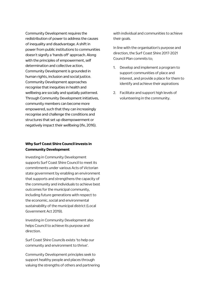Community Development requires the redistribution of power to address the causes of inequality and disadvantage. A shift in power from public institutions to communities doesn't signify a 'hands off' approach. Along with the principles of empowerment, self determination and collective action, Community Development is grounded in human rights, inclusion and social justice. Community Development approaches recognise that inequities in health and wellbeing are socially and spatially patterned. Through Community Development initiatives, community members can become more empowered, such that they can increasingly recognise and challenge the conditions and structures that set up disempowerment or negatively impact their wellbeing (Ife, 2016).

#### **Why Surf Coast Shire Council invests in Community Development**

Investing in Community Development supports Surf Coast Shire Council to meet its commitments under various Acts of Victorian state government by enabling an environment that supports and strengthens the capacity of the community and individuals to achieve best outcomes for the municipal community, including future generations with respect to the economic, social and environmental sustainability of the municipal district (Local Government Act 2019).

Investing in Community Development also helps Council to achieve its purpose and direction.

Surf Coast Shire Councils exists 'to help our community and environment to thrive'.

Community Development principles seek to support healthy people and places through valuing the strengths of others and partnering with individual and communities to achieve their goals.

In line with the organisation's purpose and direction, the Surf Coast Shire 2017-2021 Council Plan commits to;

- 1. Develop and implement a program to support communities of place and interest, and provide a place for them to identify and achieve their aspirations
- 2. Facilitate and support high levels of volunteering in the community.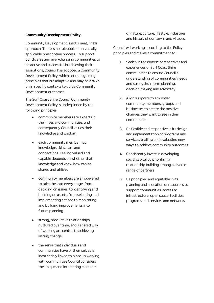#### **Community Development Policy.**

Community Development is not a neat, linear approach. There is no rulebook or universally applicable prescriptive process. To support our diverse and ever-changing communities to be active and successful in achieving their aspirations, Council has adopted a Community Development Policy, which set outs guiding principles that are adaptive and may be drawn on in specific contexts to guide Community Development outcomes.

The Surf Coast Shire Council Community Development Policy is underpinned by the following principles:

- community members are experts in their lives and communities, and consequently Council values their knowledge and wisdom
- each community member has knowledge, skills, care and connections. Feeling valued and capable depends on whether that knowledge and know-how can be shared and utilised
- community members are empowered to take the lead every stage, from deciding on issues, to identifying and building on assets, from selecting and implementing actions to monitoring and building improvements into future planning
- strong, productive relationships, nurtured over time, and a shared way of working are central to achieving lasting change
- the sense that individuals and communities have of themselves is inextricably linked to place. In working with communities Council considers the unique and interacting elements

of nature, culture, lifestyle, industries and history of our towns and villages.

Council will working according to the Policy principles and makes a commitment to:

- 1. Seek out the diverse perspectives and experiences of Surf Coast Shire communities to ensure Council's understanding of communities' needs and strengths inform planning, decision-making and advocacy
- 2. Align supports to empower community members, groups and businesses to create the positive changes they want to see in their communities
- 3. Be flexible and responsive in its design and implementation of programs and services, trialling and evaluating new ways to achieve community outcomes
- 4. Consistently invest in developing social capital by prioritising relationship building among a diverse range of partners
- 5. Be principled and equitable in its planning and allocation of resources to support communities' access to infrastructure, open space, facilities, programs and services and networks.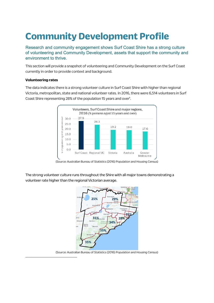# **Community Development Profile**

Research and community engagement shows Surf Coast Shire has a strong culture of volunteering and Community Development, assets that support the community and environment to thrive.

This section will provide a snapshot of volunteering and Community Development on the Surf Coast currently in order to provide context and background.

#### **Volunteering rates**

The data indicates there is a strong volunteer culture in Surf Coast Shire with higher than regional Victoria, metropolitan, state and national volunteer rates. In 2016, there were 6,514 volunteers in Surf Coast Shire representing 28% of the population 15 years and over<sup>1</sup>.



(Source: Australian Bureau of Statistics (2016) Population and Housing Census)

The strong volunteer culture runs throughout the Shire with all major towns demonstrating a volunteer rate higher than the regional Victorian average.



(Source: Australian Bureau of Statistics (2016) Population and Housing Census)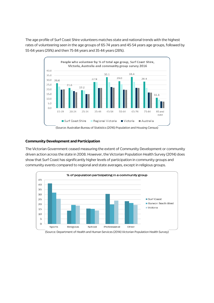The age profile of Surf Coast Shire volunteers matches state and national trends with the highest rates of volunteering seen in the age groups of 65-74 years and 45-54 years age groups, followed by 55-64 years (29%) and then 75-84 years and 35-44 years (28%).



(Source: Australian Bureau of Statistics (2016) Population and Housing Census)

#### **Community Development and Participation**

The Victorian Government ceased measuring the extent of Community Development or community driven action across the state in 2008. However, the Victorian Population Health Survey (2014) does show that Surf Coast has significantly higher levels of participation in community groups and community events compared to regional and state averages, except in religious groups.

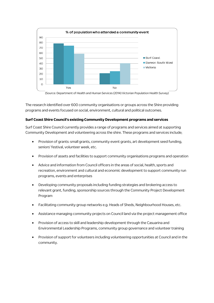

The research identified over 600 community organisations or groups across the Shire providing programs and events focused on social, environment, cultural and political outcomes.

#### **Surf Coast Shire Council's existing Community Development programs and services**

Surf Coast Shire Council currently provides a range of programs and services aimed at supporting Community Development and volunteering across the shire. These programs and services include;

- Provision of grants: small grants, community event grants, art development seed funding, seniors' festival, volunteer week, etc.
- Provision of assets and facilities to support community organisations programs and operation
- Advice and information from Council officers in the areas of social, health, sports and recreation, environment and cultural and economic development to support community run programs, events and enterprises
- Developing community proposals including funding strategies and brokering access to relevant grant, funding, sponsorship sources through the Community Project Development Program
- Facilitating community group networks e.g. Heads of Sheds, Neighbourhood Houses, etc.
- Assistance managing community projects on Council land via the project management office
- Provision of access to skill and leadership development through the Casuarina and Environmental Leadership Programs, community group governance and volunteer training
- Provision of support for volunteers including volunteering opportunities at Council and in the community.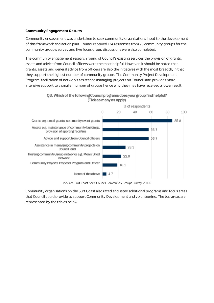#### **Community Engagement Results**

Community engagement was undertaken to seek community organisations input to the development of this framework and action plan. Council received 124 responses from 75 community groups for the community group's survey and five focus group discussions were also completed.

The community engagement research found of Council's existing services the provision of grants, assets and advice from Council officers were the most helpful. However, it should be noted that grants, assets and general advice from officers are also the initiatives with the most breadth, in that they support the highest number of community groups. The Community Project Development Program, facilitation of networks assistance managing projects on Council land provides more intensive support to a smaller number of groups hence why they may have received a lower result.



Q3. Which of the following Council programs does your group find helpful? (Tick as many as apply)

(Source: Surf Coast Shire Council Community Groups Survey, 2019)

Community organisations on the Surf Coast also rated and listed additional programs and focus areas that Council could provide to support Community Development and volunteering. The top areas are represented by the tables below.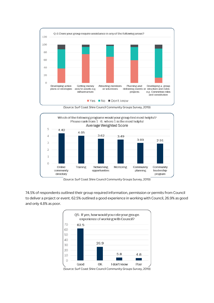

(Source: Surf Coast Shire Council Community Groups Survey, 2019)



(Source: Surf Coast Shire Council Community Groups Survey, 2019)

74.5% of respondents outlined their group required information, permission or permits from Council to deliver a project or event. 62.5% outlined a good experience in working with Council, 26.9% as good and only 4.8% as poor.



(Source: Surf Coast Shire Council Community Groups Survey, 2019)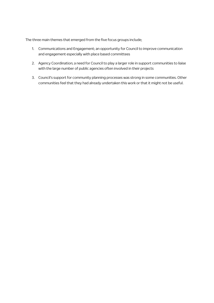The three main themes that emerged from the five focus groups include;

- 1. Communications and Engagement; an opportunity for Council to improve communication and engagement especially with place based committees
- 2. Agency Coordination; a need for Council to play a larger role in support communities to liaise with the large number of public agencies often involved in their projects
- 3. Council's support for community planning processes was strong in some communities. Other communities feel that they had already undertaken this work or that it might not be useful.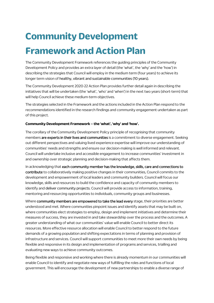# **Community Development Framework and Action Plan**

The Community Development Framework references the guiding principles of the Community Development Policy and provides an extra layer of detail (the 'what', the 'why' and the 'how') in describing the strategies that Council will employ in the medium term (four years) to achieve its longer term vision of healthy, vibrant and sustainable communities (10 years).

The Community Development 2020-22 Action Plan provides further detail again in describing the initiatives that will be undertaken (the 'what', 'who' and 'when') in the next two years (short-term) that will help Council achieve these medium-term objectives.

The strategies selected in the Framework and the actions included in the Action Plan respond to the recommendations identified in the research findings and community engagement undertaken as part of this project.

#### **Community Development Framework – the 'what', 'why' and 'how'.**

The corollary of the Community Development Policy principle of recognising that community members **are experts in their lives and communities** is a commitment to diverse engagement. Seeking out different perspectives and valuing lived experience expertise will improve our understanding of communities' needs and strengths and ensure our decision-making is well informed and relevant. Council will undertake inclusive and accessible engagement to increase communities' investment in and ownership over strategic planning and decision-making that affects them.

In acknowledging that **each community member has the knowledge, skills, care and connections to contribute** to collaboratively making positive changes in their communities, Council commits to the development and empowerment of local leaders and community builders. Council will focus our knowledge, skills and resources to build the confidence and capacity of community members to identify and deliver community projects. Council will provide access to information, training, mentoring and resourcing opportunities to individuals, community groups and businesses.

Where **community members are empowered to take the lead every** stage, their priorities are better understood and met. Where communities pinpoint issues and identify assets that may be built on, where communities elect strategies to employ, design and implement initiatives and determine their measures of success, they are invested in and take stewardship over the process and the outcomes. A greater understanding of what our communities' value will enable Council to better direct its resources. More effective resource allocation will enable Council to better respond to the future demands of a growing population and shifting expectations in terms of planning and provision of infrastructure and services. Council will support communities to meet more their own needs by being flexible and responsive in its design and implementation of programs and services, trialling and evaluating new ways to achieve community outcomes.

Being flexible and responsive and working where there is already momentum in our communities will enable Council to identify and negotiate new ways of fulfilling the roles and functions of local government. This will encourage the development of new partnerships to enable a diverse range of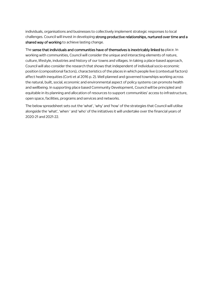individuals, organisations and businesses to collectively implement strategic responses to local challenges. Council will invest in developing **strong productive relationships, nurtured over time and a shared way of working** to achieve lasting change.

The **sense that individuals and communities have of themselves is inextricably linked to** place. In working with communities, Council will consider the unique and interacting elements of nature, culture, lifestyle, industries and history of our towns and villages. In taking a place-based approach, Council will also consider the research that shows that independent of individual socio-economic position (compositional factors), characteristics of the places in which people live (contextual factors) affect health inequities (Corti et al 2016 p. 2). Well planned and governed townships working across the natural, built, social, economic and environmental aspect of policy systems can promote health and wellbeing. In supporting place based Community Development, Council will be principled and equitable in its planning and allocation of resources to support communities' access to infrastructure, open space, facilities, programs and services and networks.

The below spreadsheet sets out the 'what', 'why' and 'how' of the strategies that Council will utilise alongside the 'what', 'when ' and 'who' of the initiatives it will undertake over the financial years of 2020-21 and 2021-22.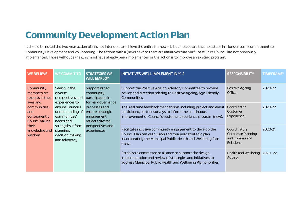### **Community Development Action Plan**

It should be noted the two-year action plan is not intended to achieve the entire framework, but instead are the next steps in a longer-term commitment to Community Development and volunteering. The actions with a (new) next to them are initiatives that Surf Coast Shire Council has not previously implemented. Those without a (new) symbol have already been implemented or the action is to improve an existing program.

| <b>WE BELIEVE</b>                                         | <b>WE COMMIT TO</b>                                                                                                                                                                                                                                                                    | <b>STRATEGIES WE</b><br><b>WILL EMPLOY</b>                                                                                                                                                      | INITIATIVES WE'LL IMPLEMENT IN Y1-2                                                                                                        | <b>RESPONSIBILITY</b>             | <b>TIMEFRAME*</b> |
|-----------------------------------------------------------|----------------------------------------------------------------------------------------------------------------------------------------------------------------------------------------------------------------------------------------------------------------------------------------|-------------------------------------------------------------------------------------------------------------------------------------------------------------------------------------------------|--------------------------------------------------------------------------------------------------------------------------------------------|-----------------------------------|-------------------|
| Community<br>members are<br>experts in their<br>lives and | Seek out the<br>diverse<br>perspectives and                                                                                                                                                                                                                                            | Support broad<br>community<br>participation in                                                                                                                                                  | Support the Positive Ageing Advisory Committee to provide<br>advice and direction relating to Positive Ageing/Age Friendly<br>Communities. | Positive Ageing<br><b>Officer</b> | 2020-22           |
| communities,<br>and<br>consequently<br>Council values     | experiences to<br>formal governance<br>ensure Council's<br>processes and<br>understanding of<br>ensure strategic<br>communities'<br>engagement<br>needs and<br>reflects diverse<br>strengths inform<br>perspectives and<br>experiences<br>planning,<br>decision-making<br>and advocacy | Trial real time feedback mechanisms including project and event<br>participant/partner surveys to inform the continuous<br>improvement of Council's customer experience program (new).          | Coordinator<br>Customer<br>Experience                                                                                                      | 2020-22                           |                   |
| their<br>knowledge and<br>wisdom                          |                                                                                                                                                                                                                                                                                        | Facilitate inclusive community engagement to develop the<br>Council Plan ten year vision and four year strategic plan<br>incorporating the Municipal Public Health and Wellbeing Plan<br>(new). | Coordinators<br><b>Corporate Planning</b><br>and Community<br><b>Relations</b>                                                             | 2020-21                           |                   |
|                                                           |                                                                                                                                                                                                                                                                                        | Establish a committee or alliance to support the design,<br>implementation and review of strategies and initiatives to<br>address Municipal Public Health and Wellbeing Plan priorities.        | Health and Wellbeing 2020 - 22<br>Advisor                                                                                                  |                                   |                   |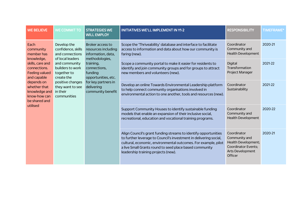| <b>WE BELIEVE</b>                                                                                    | WE COMMIT TO                                                                                                                               | <b>STRATEGIES WE</b><br><b>WILL EMPLOY</b>                                                                                                                                                               | <b>INITIATIVES WE'LL IMPLEMENT IN Y1-2</b>                                                                                                                                                                                                                                                               | <b>RESPONSIBILITY</b>                                                                                            | <b>TIMEFRAME*</b> |
|------------------------------------------------------------------------------------------------------|--------------------------------------------------------------------------------------------------------------------------------------------|----------------------------------------------------------------------------------------------------------------------------------------------------------------------------------------------------------|----------------------------------------------------------------------------------------------------------------------------------------------------------------------------------------------------------------------------------------------------------------------------------------------------------|------------------------------------------------------------------------------------------------------------------|-------------------|
| Each<br>community<br>member has                                                                      | Develop the<br>confidence, skills<br>and connections<br>of local leaders<br>and community<br>builders to work<br>together to<br>create the | Broker access to<br>resources including<br>information, data,<br>methodologies,<br>training,<br>connections,<br>funding<br>opportunities, etc.<br>for key partners in<br>delivering<br>community benefit | Scope the 'Thriveability' database and interface to facilitate<br>access to information and data about how our community is<br>faring (new).                                                                                                                                                             | Coordinator<br>Community and<br><b>Health Development</b>                                                        | 2020-21           |
| knowledge,<br>skills, care and<br>connections.<br>Feeling valued<br>and capable                      |                                                                                                                                            |                                                                                                                                                                                                          | Scope a community portal to make it easier for residents to<br>identify and join community groups and for groups to attract<br>new members and volunteers (new).                                                                                                                                         | Digital<br>Transformation<br>Project Manager                                                                     | 2021-22           |
| depends on<br>whether that<br>knowledge and<br>in their<br>know-how can<br>be shared and<br>utilised | positive changes<br>they want to see<br>communities                                                                                        |                                                                                                                                                                                                          | Develop an online Towards Environmental Leadership platform<br>to help connect community organisations involved in<br>environmental action to one another, tools and resources (new).                                                                                                                    | Coordinator<br>Sustainability                                                                                    | 2021-22           |
|                                                                                                      |                                                                                                                                            |                                                                                                                                                                                                          | Support Community Houses to identify sustainable funding<br>models that enable an expansion of their inclusive social,<br>recreational, education and vocational training programs.                                                                                                                      | Coordinator<br>Community and<br><b>Health Development</b>                                                        | 2020-22           |
|                                                                                                      |                                                                                                                                            |                                                                                                                                                                                                          | Align Council's grant funding streams to identify opportunities<br>to further leverage to Council's investment in delivering social,<br>cultural, economic, environmental outcomes. For example, pilot<br>a live Small Grants round to seed place based community<br>leadership training projects (new). | Coordinator<br>Community and<br>Health Development;<br><b>Coordinator Events:</b><br>Arts Development<br>Officer | 2020-21           |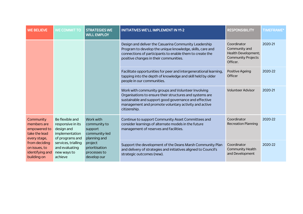| <b>WE BELIEVE</b>                                                                                                                                        | <b>WE COMMIT TO</b>                                                                     | <b>STRATEGIES WE</b><br><b>WILL EMPLOY</b>                            | <b>INITIATIVES WE'LL IMPLEMENT IN Y1-2</b>                                                                                                                                                                                                      | <b>RESPONSIBILITY</b>                                                                        | <b>TIMEFRAME*</b> |
|----------------------------------------------------------------------------------------------------------------------------------------------------------|-----------------------------------------------------------------------------------------|-----------------------------------------------------------------------|-------------------------------------------------------------------------------------------------------------------------------------------------------------------------------------------------------------------------------------------------|----------------------------------------------------------------------------------------------|-------------------|
|                                                                                                                                                          |                                                                                         |                                                                       | Design and deliver the Casuarina Community Leadership<br>Program to develop the unique knowledge, skills, care and<br>connections of participants to enable them to create the<br>positive changes in their communities.                        | Coordinator<br>Community and<br>Health Development;<br><b>Community Projects</b><br>Officer. | 2020-21           |
|                                                                                                                                                          |                                                                                         |                                                                       | Facilitate opportunities for peer and intergenerational learning,<br>tapping into the depth of knowledge and skill held by older<br>people in our communities.                                                                                  | Positive Ageing<br>Officer                                                                   | 2020-22           |
|                                                                                                                                                          |                                                                                         |                                                                       | Work with community groups and Volunteer Involving<br>Organisations to ensure their structures and systems are<br>sustainable and support good governance and effective<br>management and promote voluntary activity and active<br>citizenship. | <b>Volunteer Advisor</b>                                                                     | 2020-21           |
| Community<br>members are<br>empowered to<br>take the lead<br>every stage,<br>from deciding<br>on issues, to<br>identifying and<br>building on<br>achieve | Be flexible and<br>responsive in its<br>design and<br>implementation<br>of programs and | Work with<br>community to<br>support<br>community-led<br>planning and | Continue to support Community Asset Committees and<br>consider learnings of alternate models in the future<br>management of reserves and facilities.                                                                                            | Coordinator<br><b>Recreation Planning</b>                                                    | 2020-22           |
|                                                                                                                                                          | services, trialling<br>and evaluating<br>new ways to                                    | project<br>prioritisation<br>processes to<br>develop our              | Support the development of the Deans Marsh Community Plan<br>and delivery of strategies and initiatives aligned to Council's<br>strategic outcomes (new).                                                                                       | Coordinator<br><b>Community Health</b><br>and Development                                    | 2020-22           |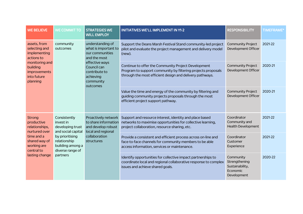| <b>WE BELIEVE</b>                                                                                                                                             | <b>WE COMMIT TO</b>                                                                                                                                        | <b>STRATEGIES WE</b><br><b>WILL EMPLOY</b>                                                                                                                          | <b>INITIATIVES WE'LL IMPLEMENT IN Y1-2</b>                                                                                                                                      | <b>RESPONSIBILITY</b>                                                    | <b>TIMEFRAME*</b> |
|---------------------------------------------------------------------------------------------------------------------------------------------------------------|------------------------------------------------------------------------------------------------------------------------------------------------------------|---------------------------------------------------------------------------------------------------------------------------------------------------------------------|---------------------------------------------------------------------------------------------------------------------------------------------------------------------------------|--------------------------------------------------------------------------|-------------------|
| assets, from<br>community<br>selecting and<br>outcomes<br>implementing<br>actions to<br>monitoring and<br>building<br>improvements<br>into future<br>planning |                                                                                                                                                            | understanding of<br>what is important to<br>our communities<br>and the most<br>effective ways<br>Council can<br>contribute to<br>achieving<br>community<br>outcomes | Support the Deans Marsh Festival Stand community-led project<br>pilot and evaluate the project management and delivery model<br>(new).                                          | <b>Community Project</b><br>Development Officer                          | 2021-22           |
|                                                                                                                                                               |                                                                                                                                                            |                                                                                                                                                                     | Continue to offer the Community Project Development<br>Program to support community by filtering projects proposals<br>through the most efficient design and delivery pathways. | <b>Community Project</b><br>Development Officer                          | 2020-21           |
|                                                                                                                                                               |                                                                                                                                                            | Value the time and energy of the community by filtering and<br>guiding community projects proposals through the most<br>efficient project support pathway.          | <b>Community Project</b><br>Development Officer                                                                                                                                 | 2020-21                                                                  |                   |
| Strong<br>productive<br>relationships,<br>nurtured over<br>time and a<br>shared way of<br>working are<br>central to<br>lasting change                         | Consistently<br>invest in<br>developing trust<br>and social capital<br>by prioritising<br>relationship<br>building among a<br>diverse range of<br>partners | Proactively network<br>to share information<br>and develop robust<br>local and regional<br>collaboration<br>structures                                              | Support and resource interest, identity and place based<br>networks to maximise opportunities for collective learning,<br>project collaboration, resource-sharing, etc.         | Coordinator<br>Community and<br><b>Health Development</b>                | 2021-22           |
|                                                                                                                                                               |                                                                                                                                                            |                                                                                                                                                                     | Provide a consistent and efficient process across on-line and<br>face-to-face channels for community members to be able<br>access information, services or maintenance.         | Coordinator<br>Customer<br>Experience                                    | 2021-22           |
|                                                                                                                                                               |                                                                                                                                                            |                                                                                                                                                                     | Identify opportunities for collective impact partnerships to<br>coordinate local and regional collaborative response to complex<br>issues and achieve shared goals.             | Community<br>Strengthening<br>Sustainability,<br>Economic<br>Development | 2020-22           |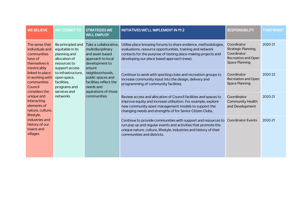| <b>WE BELIEVE</b>                                                                            | <b>WE COMMIT TO</b>                                                                                      | <b>STRATEGIES WE</b><br><b>WILL EMPLOY</b>                                                                                                                                                                                           | <b>INITIATIVES WE'LL IMPLEMENT IN Y1-2</b>                                                                                                                                                                                                             | <b>RESPONSIBILITY</b>                                                                                    | <b>TIMEFRAME*</b> |
|----------------------------------------------------------------------------------------------|----------------------------------------------------------------------------------------------------------|--------------------------------------------------------------------------------------------------------------------------------------------------------------------------------------------------------------------------------------|--------------------------------------------------------------------------------------------------------------------------------------------------------------------------------------------------------------------------------------------------------|----------------------------------------------------------------------------------------------------------|-------------------|
| The sense that<br>individuals and<br>communities<br>have of<br>themselves is<br>inextricably | Be principled and<br>equitable in its<br>planning and<br>allocation of<br>resources to<br>support access | Take a collaborative,<br>multidisciplinary<br>and asset-based<br>approach to local<br>development to<br>ensure<br>neighbourhoods,<br>public spaces and<br>facilities reflect the<br>needs and<br>aspirations of those<br>communities | Utilise place-knowing forums to share evidence, methodologies,<br>evaluations, resource opportunities, training and network<br>contacts for the purpose of testing place-making projects and<br>developing our place based approach (new).             | Coordinator<br><b>Strategic Planning,</b><br>Coordinator<br>Recreation and Open<br><b>Space Planning</b> | 2020-21           |
| linked to place.<br>In working with<br>communities<br>Council<br>considers the               | to infrastructure,<br>open space,<br>facilities,<br>programs and<br>services and                         |                                                                                                                                                                                                                                      | Continue to work with sporting clubs and recreation groups to<br>increase community input into the design, delivery and<br>programming of community facilities.                                                                                        | Coordinator<br>Recreation and Open<br><b>Space Planning</b>                                              | 2020-22           |
| unique and<br>interacting<br>elements of<br>nature, culture,<br>lifestyle,                   | networks                                                                                                 |                                                                                                                                                                                                                                      | Review access and allocation of Council facilities and spaces to<br>improve equity and increase utilisation. For example, explore<br>new community asset management models to support the<br>changing needs and strengths of for Senior Citizen Clubs. | Coordinator<br><b>Community Health</b><br>and Development                                                | 2020-21           |
| industries and<br>history of our<br>towns and<br>villages                                    |                                                                                                          |                                                                                                                                                                                                                                      | Continue to provide communities with support and resources to<br>run pop up and regular events and activities that promote the<br>unique nature, culture, lifestyle, industries and history of their<br>communities and districts.                     | <b>Coordinator Events</b>                                                                                | 2020-21           |